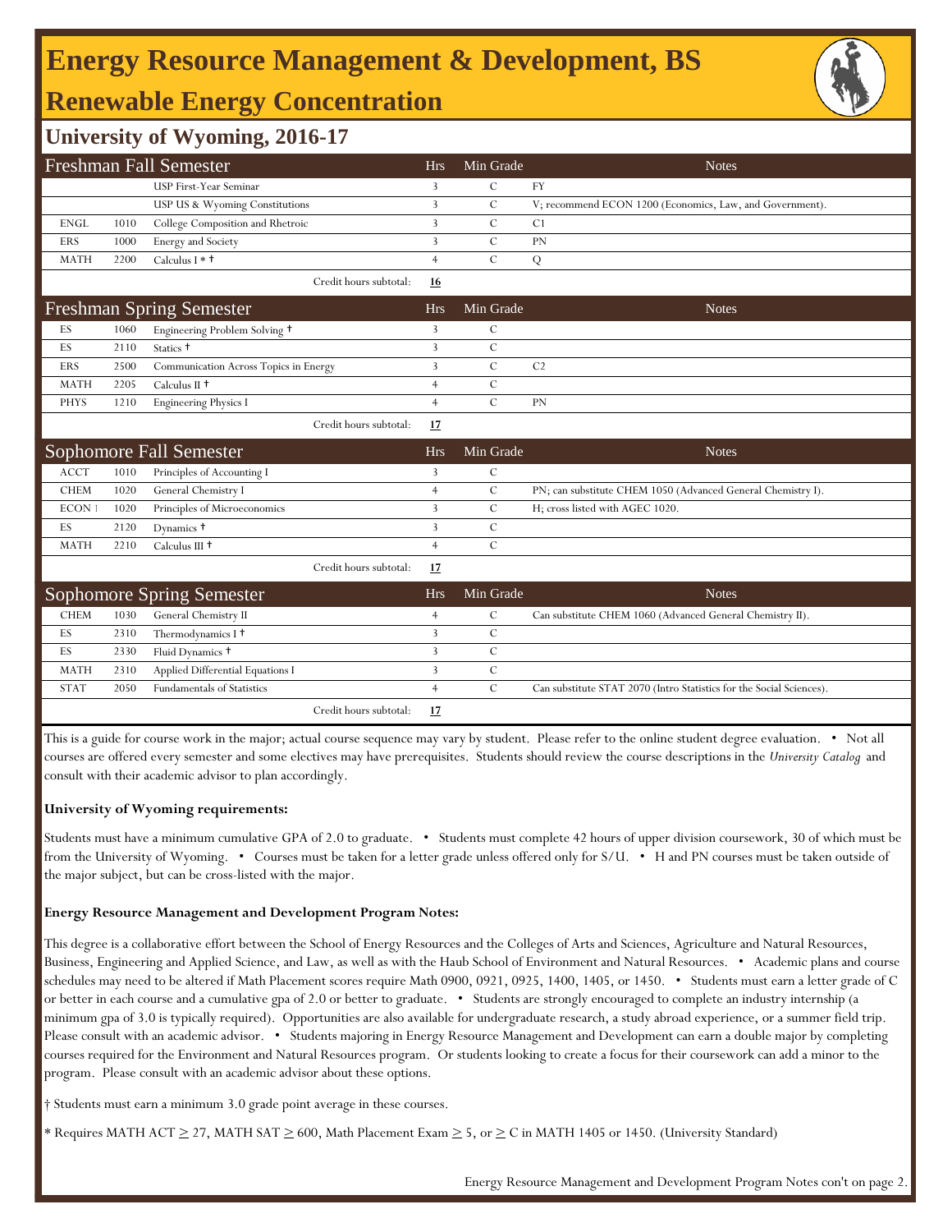# **Energy Resource Management & Development, BS**

## **Renewable Energy Concentration**

## **University of Wyoming, 2016-17**

| Freshman Fall Semester          |      |                                       |                        |                | Min Grade     | <b>Notes</b>                                                         |
|---------------------------------|------|---------------------------------------|------------------------|----------------|---------------|----------------------------------------------------------------------|
|                                 |      | <b>USP First-Year Seminar</b>         |                        | $\overline{3}$ | $\mathcal{C}$ | FY                                                                   |
|                                 |      | USP US & Wyoming Constitutions        |                        | 3              | $\mathcal{C}$ | V; recommend ECON 1200 (Economics, Law, and Government).             |
| <b>ENGL</b>                     | 1010 | College Composition and Rhetroic      |                        | $\overline{3}$ | $\mathbf C$   | C1                                                                   |
| <b>ERS</b>                      | 1000 | Energy and Society                    |                        | $\overline{3}$ | $\mathcal{C}$ | PN                                                                   |
| <b>MATH</b>                     | 2200 | Calculus I $*$ $\dagger$              |                        | $\overline{4}$ | $\mathcal{C}$ | Q                                                                    |
|                                 |      |                                       | Credit hours subtotal: | 16             |               |                                                                      |
| <b>Freshman Spring Semester</b> |      |                                       | <b>Hrs</b>             | Min Grade      | <b>Notes</b>  |                                                                      |
| ES                              | 1060 | Engineering Problem Solving +         |                        | $\overline{3}$ | $\mathcal{C}$ |                                                                      |
| ES                              | 2110 | Statics +                             |                        | $\overline{3}$ | $\mathbf C$   |                                                                      |
| <b>ERS</b>                      | 2500 | Communication Across Topics in Energy |                        | 3              | $\mathcal{C}$ | C <sub>2</sub>                                                       |
| <b>MATH</b>                     | 2205 | Calculus II $\dagger$                 |                        | $\overline{4}$ | $\mathbf C$   |                                                                      |
| <b>PHYS</b>                     | 1210 | <b>Engineering Physics I</b>          |                        | $\overline{4}$ | $\mathcal{C}$ | PN                                                                   |
|                                 |      |                                       | Credit hours subtotal: | 17             |               |                                                                      |
|                                 |      | Sophomore Fall Semester               |                        | <b>Hrs</b>     | Min Grade     | <b>Notes</b>                                                         |
| <b>ACCT</b>                     | 1010 | Principles of Accounting I            |                        | 3              | $\mathcal{C}$ |                                                                      |
| <b>CHEM</b>                     | 1020 | General Chemistry I                   |                        | $\overline{4}$ | $\mathcal{C}$ | PN; can substitute CHEM 1050 (Advanced General Chemistry I).         |
| ECON 1                          |      |                                       |                        | 3              | $\mathcal{C}$ |                                                                      |
|                                 | 1020 | Principles of Microeconomics          |                        |                |               | H; cross listed with AGEC 1020.                                      |
| ES                              | 2120 | Dynamics +                            |                        | $\overline{3}$ | $\mathcal{C}$ |                                                                      |
| <b>MATH</b>                     | 2210 | Calculus III <sup>+</sup>             |                        | $\overline{4}$ | $\mathbf C$   |                                                                      |
|                                 |      |                                       | Credit hours subtotal: | 17             |               |                                                                      |
|                                 |      | <b>Sophomore Spring Semester</b>      |                        | <b>Hrs</b>     | Min Grade     | <b>Notes</b>                                                         |
| <b>CHEM</b>                     | 1030 | General Chemistry II                  |                        | $\overline{4}$ | $\mathcal{C}$ | Can substitute CHEM 1060 (Advanced General Chemistry II).            |
| ES                              | 2310 | Thermodynamics I <sup>+</sup>         |                        | 3              | $\mathcal{C}$ |                                                                      |
| ES                              | 2330 | Fluid Dynamics +                      |                        | 3              | $\mathbf C$   |                                                                      |
| <b>MATH</b>                     | 2310 | Applied Differential Equations I      |                        | 3              | $\mathbf C$   |                                                                      |
| <b>STAT</b>                     | 2050 | <b>Fundamentals of Statistics</b>     |                        | $\overline{4}$ | $\mathbf C$   | Can substitute STAT 2070 (Intro Statistics for the Social Sciences). |

This is a guide for course work in the major; actual course sequence may vary by student. Please refer to the online student degree evaluation. • Not all courses are offered every semester and some electives may have prerequisites. Students should review the course descriptions in the *University Catalog* and consult with their academic advisor to plan accordingly.

### **University of Wyoming requirements:**

Students must have a minimum cumulative GPA of 2.0 to graduate. • Students must complete 42 hours of upper division coursework, 30 of which must be from the University of Wyoming. • Courses must be taken for a letter grade unless offered only for S/U. • H and PN courses must be taken outside of the major subject, but can be cross-listed with the major.

### **Energy Resource Management and Development Program Notes:**

This degree is a collaborative effort between the School of Energy Resources and the Colleges of Arts and Sciences, Agriculture and Natural Resources, Business, Engineering and Applied Science, and Law, as well as with the Haub School of Environment and Natural Resources. • Academic plans and course schedules may need to be altered if Math Placement scores require Math 0900, 0921, 0925, 1400, 1405, or 1450. • Students must earn a letter grade of C or better in each course and a cumulative gpa of 2.0 or better to graduate. • Students are strongly encouraged to complete an industry internship (a minimum gpa of 3.0 is typically required). Opportunities are also available for undergraduate research, a study abroad experience, or a summer field trip. Please consult with an academic advisor. • Students majoring in Energy Resource Management and Development can earn a double major by completing courses required for the Environment and Natural Resources program. Or students looking to create a focus for their coursework can add a minor to the program. Please consult with an academic advisor about these options.

† Students must earn a minimum 3.0 grade point average in these courses.

Requires MATH ACT  $\geq$  27, MATH SAT  $\geq$  600, Math Placement Exam  $\geq$  5, or  $\geq$  C in MATH 1405 or 1450. (University Standard)

Energy Resource Management and Development Program Notes con't on page 2.